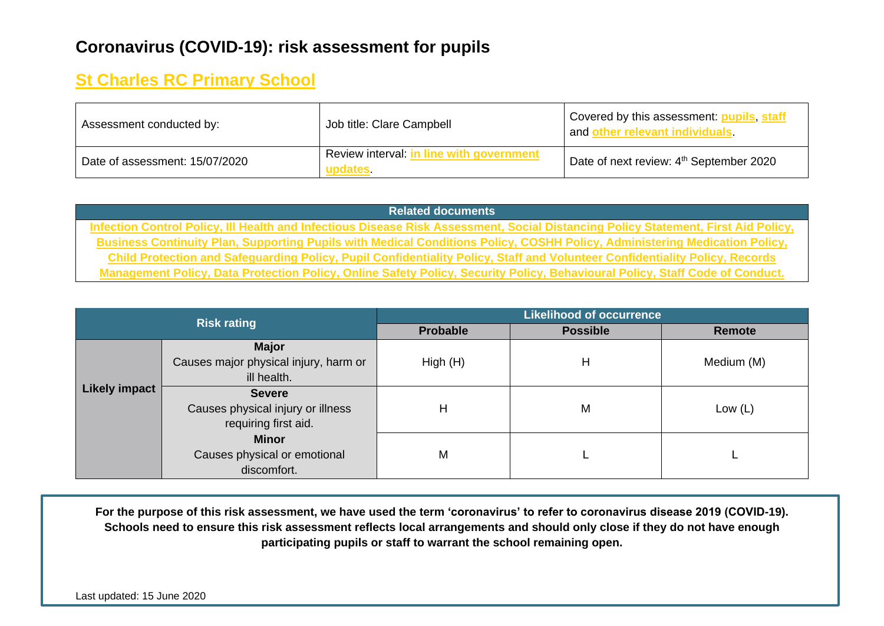## **Coronavirus (COVID-19): risk assessment for pupils**

## **St Charles RC Primary School**

| Assessment conducted by:       | Job title: Clare Campbell                           | Covered by this assessment: pupils, staff<br>and other relevant individuals. |
|--------------------------------|-----------------------------------------------------|------------------------------------------------------------------------------|
| Date of assessment: 15/07/2020 | Review interval: in line with government<br>updates | Date of next review: 4 <sup>th</sup> September 2020                          |

**Related documents Infection Control Policy, Ill Health and Infectious Disease Risk Assessment, Social Distancing Policy Statement, First Aid Policy, Business Continuity Plan, Supporting Pupils with Medical Conditions Policy, COSHH Policy, Administering Medication Policy, Child Protection and Safeguarding Policy, Pupil Confidentiality Policy, Staff and Volunteer Confidentiality Policy, Records Management Policy, Data Protection Policy, Online Safety Policy, Security Policy, Behavioural Policy, Staff Code of Conduct.**

|                      | <b>Risk rating</b>                    | <b>Likelihood of occurrence</b> |                 |            |  |  |  |
|----------------------|---------------------------------------|---------------------------------|-----------------|------------|--|--|--|
|                      |                                       | <b>Probable</b>                 | <b>Possible</b> | Remote     |  |  |  |
|                      | <b>Major</b>                          |                                 |                 |            |  |  |  |
| <b>Likely impact</b> | Causes major physical injury, harm or | High (H)                        | Н               | Medium (M) |  |  |  |
|                      | ill health.                           |                                 |                 |            |  |  |  |
|                      | <b>Severe</b>                         |                                 |                 |            |  |  |  |
|                      | Causes physical injury or illness     | Н                               | M               | Low $(L)$  |  |  |  |
|                      | requiring first aid.                  |                                 |                 |            |  |  |  |
|                      | <b>Minor</b>                          |                                 |                 |            |  |  |  |
|                      | Causes physical or emotional          | M                               |                 |            |  |  |  |
|                      | discomfort.                           |                                 |                 |            |  |  |  |

**For the purpose of this risk assessment, we have used the term 'coronavirus' to refer to coronavirus disease 2019 (COVID-19). Schools need to ensure this risk assessment reflects local arrangements and should only close if they do not have enough participating pupils or staff to warrant the school remaining open.**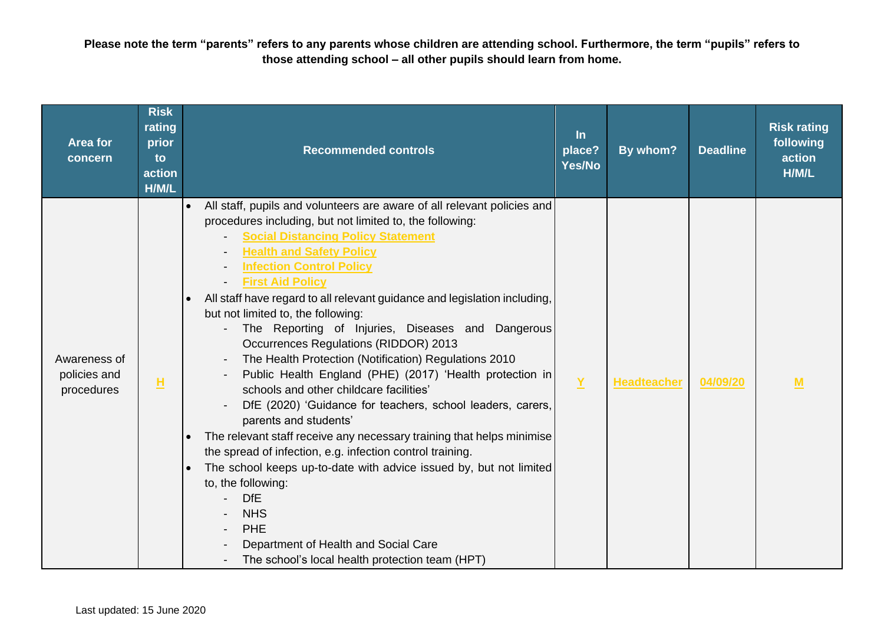**Please note the term "parents" refers to any parents whose children are attending school. Furthermore, the term "pupils" refers to those attending school – all other pupils should learn from home.** 

| <b>Area for</b><br>concern                 | <b>Risk</b><br>rating<br>prior<br>to<br>action<br>H/M/L | <b>Recommended controls</b>                                                                                                                                                                                                                                                                                                                                                                                                                                                                                                                                                                                                                                                                                                                                                                                                                                                                                                                                                                                                                                                                                               | $\ln$<br>place?<br>Yes/No | By whom?           | <b>Deadline</b> | <b>Risk rating</b><br>following<br>action<br>H/M/L |
|--------------------------------------------|---------------------------------------------------------|---------------------------------------------------------------------------------------------------------------------------------------------------------------------------------------------------------------------------------------------------------------------------------------------------------------------------------------------------------------------------------------------------------------------------------------------------------------------------------------------------------------------------------------------------------------------------------------------------------------------------------------------------------------------------------------------------------------------------------------------------------------------------------------------------------------------------------------------------------------------------------------------------------------------------------------------------------------------------------------------------------------------------------------------------------------------------------------------------------------------------|---------------------------|--------------------|-----------------|----------------------------------------------------|
| Awareness of<br>policies and<br>procedures | н                                                       | All staff, pupils and volunteers are aware of all relevant policies and<br>procedures including, but not limited to, the following:<br><b>Social Distancing Policy Statement</b><br><b>Health and Safety Policy</b><br><b>Infection Control Policy</b><br><b>First Aid Policy</b><br>All staff have regard to all relevant guidance and legislation including,<br>but not limited to, the following:<br>The Reporting of Injuries, Diseases and Dangerous<br>Occurrences Regulations (RIDDOR) 2013<br>The Health Protection (Notification) Regulations 2010<br>Public Health England (PHE) (2017) 'Health protection in<br>schools and other childcare facilities'<br>DfE (2020) 'Guidance for teachers, school leaders, carers,<br>parents and students'<br>The relevant staff receive any necessary training that helps minimise<br>the spread of infection, e.g. infection control training.<br>The school keeps up-to-date with advice issued by, but not limited<br>to, the following:<br><b>DfE</b><br><b>NHS</b><br>PHE<br>Department of Health and Social Care<br>The school's local health protection team (HPT) | $\underline{Y}$           | <b>Headteacher</b> | 04/09/20        | M                                                  |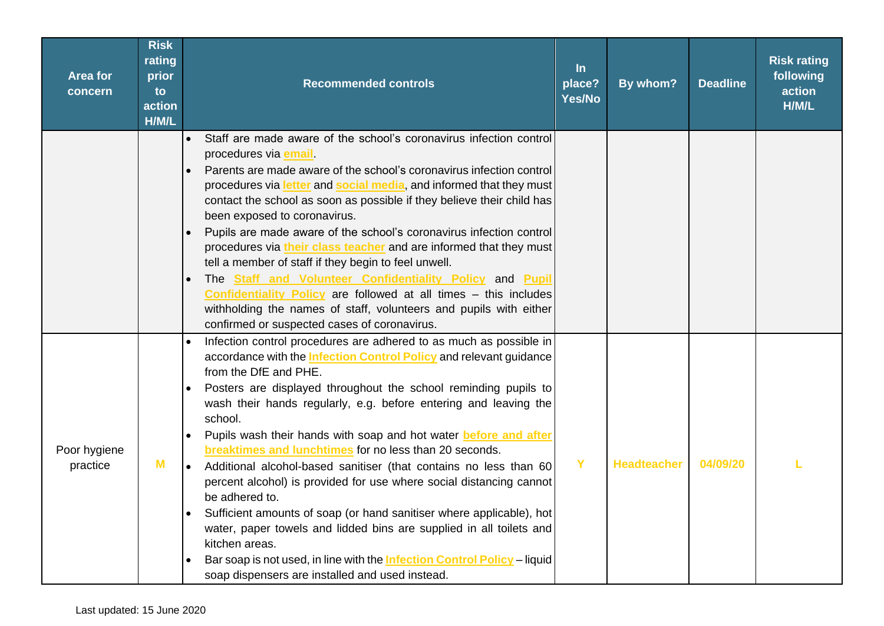| Area for<br>concern      | <b>Risk</b><br>rating<br>prior<br>to<br>action<br>H/M/L | <b>Recommended controls</b>                                                                                                                                                                                                                                                                                                                                                                                                                                                                                                                                                                                                                                                                                                                                                                                                                                                                                                                             | $\ln$<br>place?<br>Yes/No | By whom?           | <b>Deadline</b> | <b>Risk rating</b><br>following<br>action<br>H/M/L |
|--------------------------|---------------------------------------------------------|---------------------------------------------------------------------------------------------------------------------------------------------------------------------------------------------------------------------------------------------------------------------------------------------------------------------------------------------------------------------------------------------------------------------------------------------------------------------------------------------------------------------------------------------------------------------------------------------------------------------------------------------------------------------------------------------------------------------------------------------------------------------------------------------------------------------------------------------------------------------------------------------------------------------------------------------------------|---------------------------|--------------------|-----------------|----------------------------------------------------|
|                          |                                                         | Staff are made aware of the school's coronavirus infection control<br>$\bullet$<br>procedures via email<br>Parents are made aware of the school's coronavirus infection control<br>procedures via letter and social media, and informed that they must<br>contact the school as soon as possible if they believe their child has<br>been exposed to coronavirus.<br>Pupils are made aware of the school's coronavirus infection control<br>procedures via their class teacher and are informed that they must<br>tell a member of staff if they begin to feel unwell.<br>The Staff and Volunteer Confidentiality Policy and Pupil<br>Confidentiality Policy are followed at all times - this includes<br>withholding the names of staff, volunteers and pupils with either<br>confirmed or suspected cases of coronavirus.                                                                                                                              |                           |                    |                 |                                                    |
| Poor hygiene<br>practice | M                                                       | Infection control procedures are adhered to as much as possible in<br>accordance with the <b>Infection Control Policy</b> and relevant guidance<br>from the DfE and PHE.<br>Posters are displayed throughout the school reminding pupils to<br>wash their hands regularly, e.g. before entering and leaving the<br>school.<br>Pupils wash their hands with soap and hot water before and after<br>$\bullet$<br>breaktimes and lunchtimes for no less than 20 seconds.<br>Additional alcohol-based sanitiser (that contains no less than 60<br>$\bullet$<br>percent alcohol) is provided for use where social distancing cannot<br>be adhered to.<br>Sufficient amounts of soap (or hand sanitiser where applicable), hot<br>water, paper towels and lidded bins are supplied in all toilets and<br>kitchen areas.<br>Bar soap is not used, in line with the <b>Infection Control Policy</b> - liquid<br>soap dispensers are installed and used instead. | Y                         | <b>Headteacher</b> | 04/09/20        |                                                    |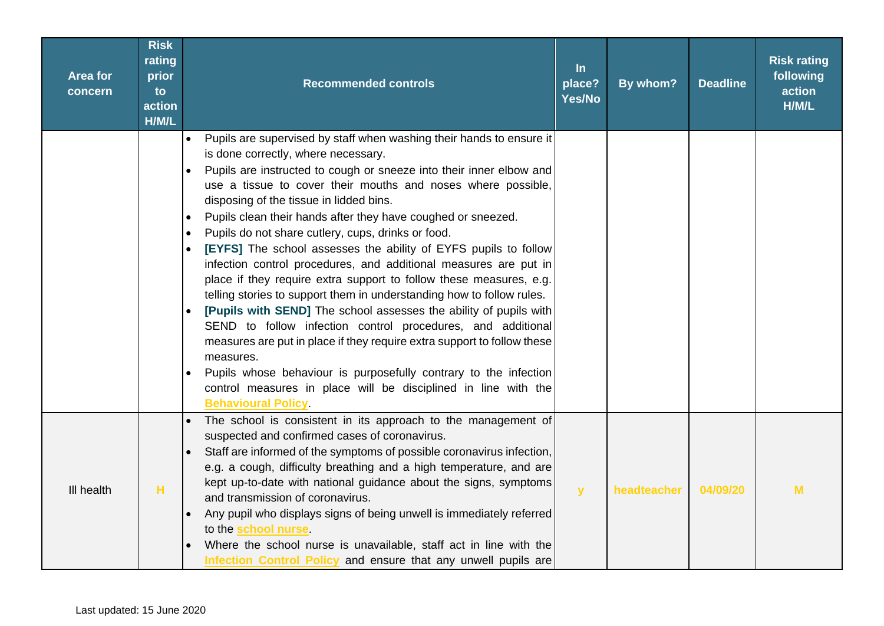| <b>Area for</b><br>concern | <b>Risk</b><br>rating<br>prior<br>to<br>action<br>H/M/L | <b>Recommended controls</b>                                                                                                                                                                                                                                                                                                                                                                                                                                                                                                                                                                                                                                                                                                                                                                                                                                                                                                                                                                                                                                                                                                                     | $\ln$<br>place?<br>Yes/No | By whom?    | <b>Deadline</b> | <b>Risk rating</b><br>following<br>action<br>H/M/L |
|----------------------------|---------------------------------------------------------|-------------------------------------------------------------------------------------------------------------------------------------------------------------------------------------------------------------------------------------------------------------------------------------------------------------------------------------------------------------------------------------------------------------------------------------------------------------------------------------------------------------------------------------------------------------------------------------------------------------------------------------------------------------------------------------------------------------------------------------------------------------------------------------------------------------------------------------------------------------------------------------------------------------------------------------------------------------------------------------------------------------------------------------------------------------------------------------------------------------------------------------------------|---------------------------|-------------|-----------------|----------------------------------------------------|
|                            |                                                         | Pupils are supervised by staff when washing their hands to ensure it<br>$\bullet$<br>is done correctly, where necessary.<br>Pupils are instructed to cough or sneeze into their inner elbow and<br>use a tissue to cover their mouths and noses where possible,<br>disposing of the tissue in lidded bins.<br>Pupils clean their hands after they have coughed or sneezed.<br>$\bullet$<br>Pupils do not share cutlery, cups, drinks or food.<br>$\bullet$<br>[EYFS] The school assesses the ability of EYFS pupils to follow<br>infection control procedures, and additional measures are put in<br>place if they require extra support to follow these measures, e.g.<br>telling stories to support them in understanding how to follow rules.<br>[Pupils with SEND] The school assesses the ability of pupils with<br>SEND to follow infection control procedures, and additional<br>measures are put in place if they require extra support to follow these<br>measures.<br>Pupils whose behaviour is purposefully contrary to the infection<br>control measures in place will be disciplined in line with the<br><b>Behavioural Policy</b> |                           |             |                 |                                                    |
| III health                 | н                                                       | The school is consistent in its approach to the management of<br>suspected and confirmed cases of coronavirus.<br>Staff are informed of the symptoms of possible coronavirus infection,<br>e.g. a cough, difficulty breathing and a high temperature, and are<br>kept up-to-date with national guidance about the signs, symptoms<br>and transmission of coronavirus.<br>Any pupil who displays signs of being unwell is immediately referred<br>to the <b>school nurse</b> .<br>Where the school nurse is unavailable, staff act in line with the<br>Infection Control Policy and ensure that any unwell pupils are                                                                                                                                                                                                                                                                                                                                                                                                                                                                                                                            | $\mathbf{y}$              | headteacher | 04/09/20        | M                                                  |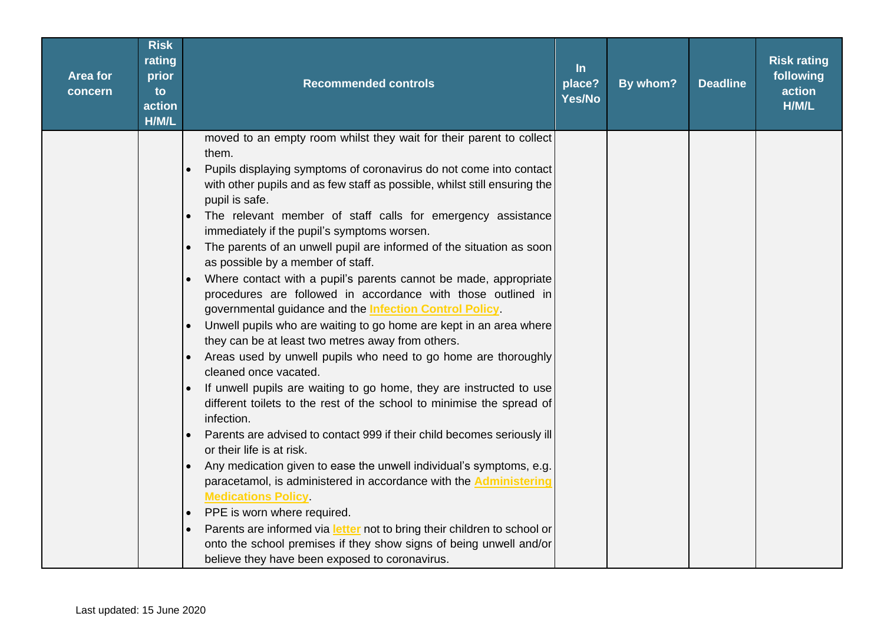| <b>Area for</b><br>concern | <b>Risk</b><br>rating<br>prior<br>to<br>action<br>H/M/L | <b>Recommended controls</b>                                                                                                                                                                       | $\ln$<br>place?<br>Yes/No | By whom? | <b>Deadline</b> | <b>Risk rating</b><br>following<br>action<br>H/M/L |
|----------------------------|---------------------------------------------------------|---------------------------------------------------------------------------------------------------------------------------------------------------------------------------------------------------|---------------------------|----------|-----------------|----------------------------------------------------|
|                            |                                                         | moved to an empty room whilst they wait for their parent to collect<br>them.                                                                                                                      |                           |          |                 |                                                    |
|                            |                                                         | Pupils displaying symptoms of coronavirus do not come into contact<br>with other pupils and as few staff as possible, whilst still ensuring the<br>pupil is safe.                                 |                           |          |                 |                                                    |
|                            |                                                         | The relevant member of staff calls for emergency assistance<br>immediately if the pupil's symptoms worsen.                                                                                        |                           |          |                 |                                                    |
|                            |                                                         | The parents of an unwell pupil are informed of the situation as soon<br>$\bullet$<br>as possible by a member of staff.                                                                            |                           |          |                 |                                                    |
|                            |                                                         | Where contact with a pupil's parents cannot be made, appropriate<br>procedures are followed in accordance with those outlined in<br>governmental guidance and the <b>Infection Control Policy</b> |                           |          |                 |                                                    |
|                            |                                                         | Unwell pupils who are waiting to go home are kept in an area where<br>they can be at least two metres away from others.                                                                           |                           |          |                 |                                                    |
|                            |                                                         | Areas used by unwell pupils who need to go home are thoroughly<br>cleaned once vacated.                                                                                                           |                           |          |                 |                                                    |
|                            |                                                         | If unwell pupils are waiting to go home, they are instructed to use<br>different toilets to the rest of the school to minimise the spread of<br>infection.                                        |                           |          |                 |                                                    |
|                            |                                                         | Parents are advised to contact 999 if their child becomes seriously ill<br>or their life is at risk.                                                                                              |                           |          |                 |                                                    |
|                            |                                                         | Any medication given to ease the unwell individual's symptoms, e.g.<br>$\bullet$<br>paracetamol, is administered in accordance with the <b>Administering</b><br><b>Medications Policy</b>         |                           |          |                 |                                                    |
|                            |                                                         | PPE is worn where required.                                                                                                                                                                       |                           |          |                 |                                                    |
|                            |                                                         | Parents are informed via letter not to bring their children to school or                                                                                                                          |                           |          |                 |                                                    |
|                            |                                                         | onto the school premises if they show signs of being unwell and/or                                                                                                                                |                           |          |                 |                                                    |
|                            |                                                         | believe they have been exposed to coronavirus.                                                                                                                                                    |                           |          |                 |                                                    |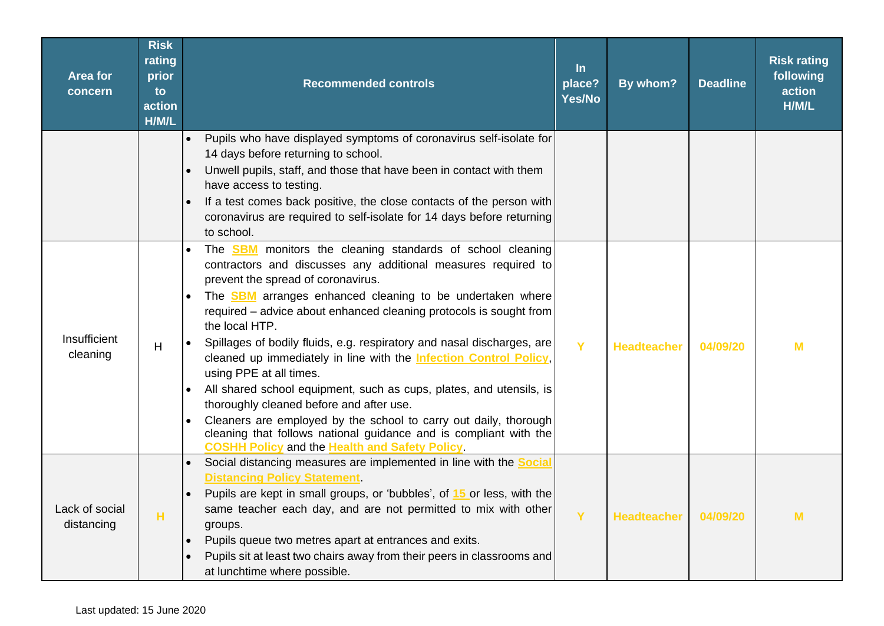| <b>Area for</b><br>concern   | <b>Risk</b><br>rating<br>prior<br>to<br>action<br>H/M/L | <b>Recommended controls</b>                                                                                                                                                                                                                                                                                                                                                                                                                                                                                                                                                                                                                                                                                                                                                                                                                             | $\ln$<br>place?<br>Yes/No | By whom?           | <b>Deadline</b> | <b>Risk rating</b><br>following<br>action<br>H/M/L |
|------------------------------|---------------------------------------------------------|---------------------------------------------------------------------------------------------------------------------------------------------------------------------------------------------------------------------------------------------------------------------------------------------------------------------------------------------------------------------------------------------------------------------------------------------------------------------------------------------------------------------------------------------------------------------------------------------------------------------------------------------------------------------------------------------------------------------------------------------------------------------------------------------------------------------------------------------------------|---------------------------|--------------------|-----------------|----------------------------------------------------|
|                              |                                                         | Pupils who have displayed symptoms of coronavirus self-isolate for<br>$\bullet$<br>14 days before returning to school.<br>Unwell pupils, staff, and those that have been in contact with them<br>$\bullet$<br>have access to testing.<br>If a test comes back positive, the close contacts of the person with<br>coronavirus are required to self-isolate for 14 days before returning<br>to school.                                                                                                                                                                                                                                                                                                                                                                                                                                                    |                           |                    |                 |                                                    |
| Insufficient<br>cleaning     | H                                                       | The <b>SBM</b> monitors the cleaning standards of school cleaning<br>contractors and discusses any additional measures required to<br>prevent the spread of coronavirus.<br>The <b>SBM</b> arranges enhanced cleaning to be undertaken where<br>required - advice about enhanced cleaning protocols is sought from<br>the local HTP.<br>Spillages of bodily fluids, e.g. respiratory and nasal discharges, are<br>$\bullet$<br>cleaned up immediately in line with the <b>Infection Control Policy</b> ,<br>using PPE at all times.<br>All shared school equipment, such as cups, plates, and utensils, is<br>thoroughly cleaned before and after use.<br>Cleaners are employed by the school to carry out daily, thorough<br>cleaning that follows national guidance and is compliant with the<br><b>COSHH Policy and the Health and Safety Policy</b> | Y                         | <b>Headteacher</b> | 04/09/20        | M                                                  |
| Lack of social<br>distancing | н                                                       | Social distancing measures are implemented in line with the <b>Social</b><br>$\bullet$<br><b>Distancing Policy Statement</b><br>Pupils are kept in small groups, or 'bubbles', of 15 or less, with the<br>same teacher each day, and are not permitted to mix with other<br>groups.<br>Pupils queue two metres apart at entrances and exits.<br>Pupils sit at least two chairs away from their peers in classrooms and<br>at lunchtime where possible.                                                                                                                                                                                                                                                                                                                                                                                                  | Y                         | <b>Headteacher</b> | 04/09/20        | M                                                  |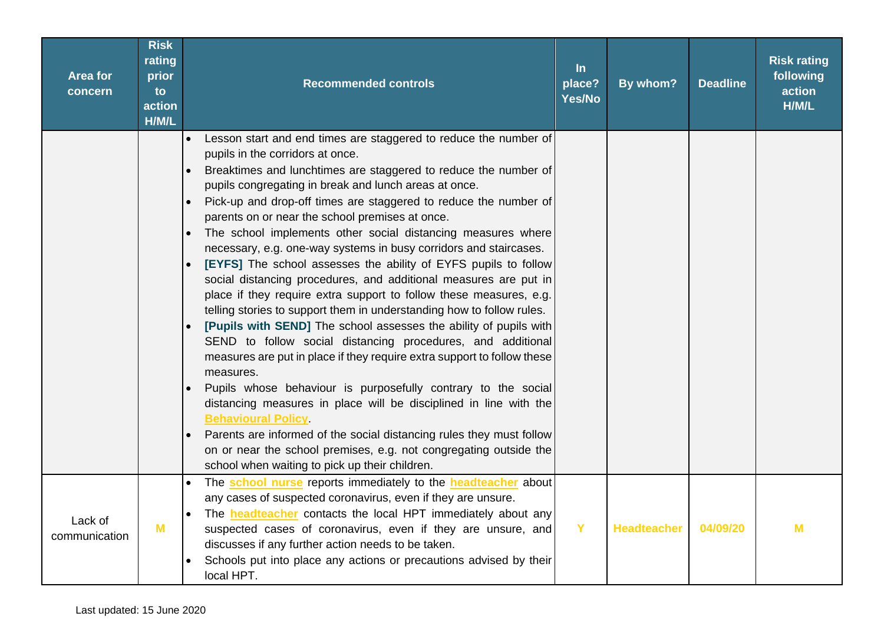| Area for<br>concern      | <b>Risk</b><br>rating<br>prior<br>to<br>action<br>H/M/L | <b>Recommended controls</b>                                                                                                                                                                                                                                                                                                                                                                                                                                                                                                                                                                                                                                                                                                                                                                                                                                                                                                                                                                                                                                                                                                                                                                                                                                                                                                                                                                                | In<br>place?<br>Yes/No | By whom?           | <b>Deadline</b> | <b>Risk rating</b><br>following<br>action<br>H/M/L |
|--------------------------|---------------------------------------------------------|------------------------------------------------------------------------------------------------------------------------------------------------------------------------------------------------------------------------------------------------------------------------------------------------------------------------------------------------------------------------------------------------------------------------------------------------------------------------------------------------------------------------------------------------------------------------------------------------------------------------------------------------------------------------------------------------------------------------------------------------------------------------------------------------------------------------------------------------------------------------------------------------------------------------------------------------------------------------------------------------------------------------------------------------------------------------------------------------------------------------------------------------------------------------------------------------------------------------------------------------------------------------------------------------------------------------------------------------------------------------------------------------------------|------------------------|--------------------|-----------------|----------------------------------------------------|
|                          |                                                         | Lesson start and end times are staggered to reduce the number of<br>$\bullet$<br>pupils in the corridors at once.<br>Breaktimes and lunchtimes are staggered to reduce the number of<br>pupils congregating in break and lunch areas at once.<br>Pick-up and drop-off times are staggered to reduce the number of<br>parents on or near the school premises at once.<br>The school implements other social distancing measures where<br>necessary, e.g. one-way systems in busy corridors and staircases.<br>[EYFS] The school assesses the ability of EYFS pupils to follow<br>social distancing procedures, and additional measures are put in<br>place if they require extra support to follow these measures, e.g.<br>telling stories to support them in understanding how to follow rules.<br>[Pupils with SEND] The school assesses the ability of pupils with<br>SEND to follow social distancing procedures, and additional<br>measures are put in place if they require extra support to follow these<br>measures.<br>Pupils whose behaviour is purposefully contrary to the social<br>distancing measures in place will be disciplined in line with the<br><b>Behavioural Policy</b><br>Parents are informed of the social distancing rules they must follow<br>$\bullet$<br>on or near the school premises, e.g. not congregating outside the<br>school when waiting to pick up their children. |                        |                    |                 |                                                    |
| Lack of<br>communication | M                                                       | The school nurse reports immediately to the headteacher about<br>any cases of suspected coronavirus, even if they are unsure.<br>The <b>headteacher</b> contacts the local HPT immediately about any<br>$\bullet$<br>suspected cases of coronavirus, even if they are unsure, and<br>discusses if any further action needs to be taken.<br>Schools put into place any actions or precautions advised by their<br>local HPT.                                                                                                                                                                                                                                                                                                                                                                                                                                                                                                                                                                                                                                                                                                                                                                                                                                                                                                                                                                                | Y                      | <b>Headteacher</b> | 04/09/20        | M                                                  |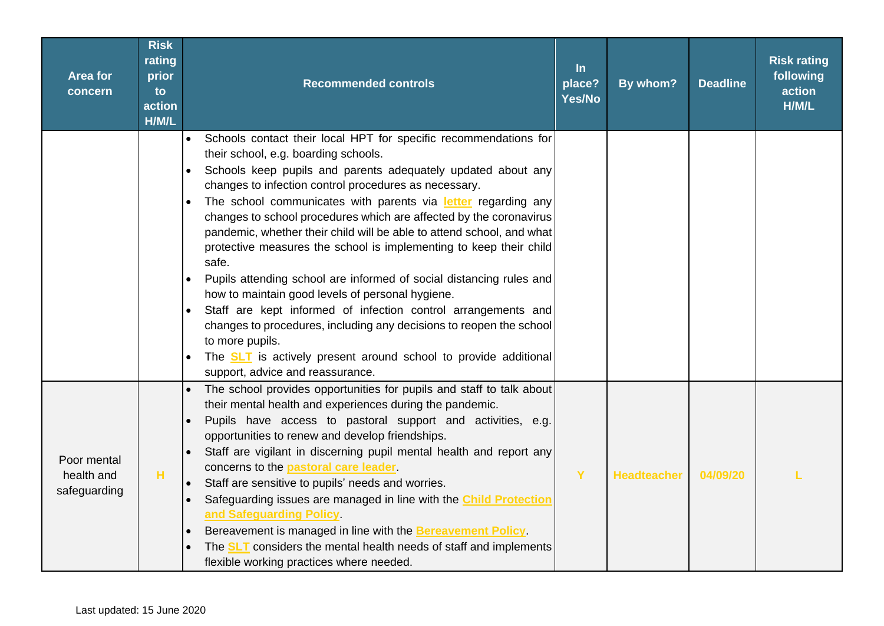| <b>Area for</b><br>concern                | <b>Risk</b><br>rating<br>prior<br>to<br>action<br>H/M/L | <b>Recommended controls</b>                                                                                                                                                                                                                                                                                                                                                                                                                                                                                                                                                                                                                                                                                                                                                                                                                                                                                                                       | $\ln$<br>place?<br>Yes/No | By whom?           | <b>Deadline</b> | <b>Risk rating</b><br>following<br>action<br>H/M/L |
|-------------------------------------------|---------------------------------------------------------|---------------------------------------------------------------------------------------------------------------------------------------------------------------------------------------------------------------------------------------------------------------------------------------------------------------------------------------------------------------------------------------------------------------------------------------------------------------------------------------------------------------------------------------------------------------------------------------------------------------------------------------------------------------------------------------------------------------------------------------------------------------------------------------------------------------------------------------------------------------------------------------------------------------------------------------------------|---------------------------|--------------------|-----------------|----------------------------------------------------|
|                                           |                                                         | Schools contact their local HPT for specific recommendations for<br>$\bullet$<br>their school, e.g. boarding schools.<br>Schools keep pupils and parents adequately updated about any<br>changes to infection control procedures as necessary.<br>The school communicates with parents via letter regarding any<br>changes to school procedures which are affected by the coronavirus<br>pandemic, whether their child will be able to attend school, and what<br>protective measures the school is implementing to keep their child<br>safe.<br>Pupils attending school are informed of social distancing rules and<br>how to maintain good levels of personal hygiene.<br>Staff are kept informed of infection control arrangements and<br>changes to procedures, including any decisions to reopen the school<br>to more pupils.<br>The <b>SLT</b> is actively present around school to provide additional<br>support, advice and reassurance. |                           |                    |                 |                                                    |
| Poor mental<br>health and<br>safeguarding | н                                                       | The school provides opportunities for pupils and staff to talk about<br>their mental health and experiences during the pandemic.<br>Pupils have access to pastoral support and activities, e.g.<br>opportunities to renew and develop friendships.<br>Staff are vigilant in discerning pupil mental health and report any<br>concerns to the <b>pastoral care leader</b> .<br>Staff are sensitive to pupils' needs and worries.<br>Safeguarding issues are managed in line with the <b>Child Protection</b><br>and Safeguarding Policy<br>Bereavement is managed in line with the Bereavement Policy.<br>The <b>SLT</b> considers the mental health needs of staff and implements<br>flexible working practices where needed.                                                                                                                                                                                                                     | Y                         | <b>Headteacher</b> | 04/09/20        |                                                    |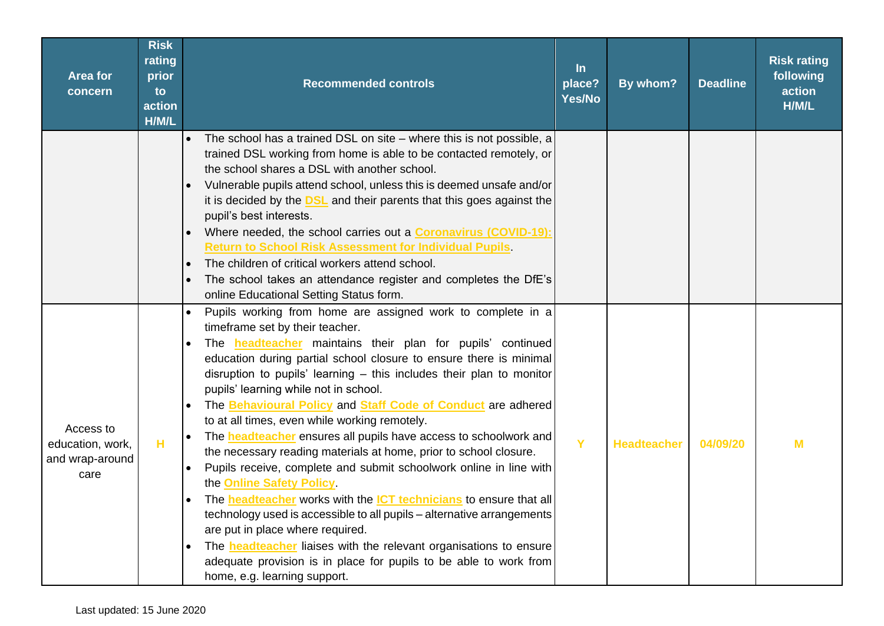| <b>Area for</b><br>concern                               | <b>Risk</b><br>rating<br>prior<br>to<br>action<br>H/M/L | <b>Recommended controls</b>                                                                                                                                                                                                                                                                                                                                                                                                                                                                                                                                                                                                                                                                                                                                                                                                                                                                                                                                                                                                                                                                                        | $\ln$<br>place?<br>Yes/No | By whom?           | <b>Deadline</b> | <b>Risk rating</b><br>following<br>action<br>H/M/L |
|----------------------------------------------------------|---------------------------------------------------------|--------------------------------------------------------------------------------------------------------------------------------------------------------------------------------------------------------------------------------------------------------------------------------------------------------------------------------------------------------------------------------------------------------------------------------------------------------------------------------------------------------------------------------------------------------------------------------------------------------------------------------------------------------------------------------------------------------------------------------------------------------------------------------------------------------------------------------------------------------------------------------------------------------------------------------------------------------------------------------------------------------------------------------------------------------------------------------------------------------------------|---------------------------|--------------------|-----------------|----------------------------------------------------|
|                                                          |                                                         | The school has a trained DSL on site – where this is not possible, a<br>$\bullet$<br>trained DSL working from home is able to be contacted remotely, or<br>the school shares a DSL with another school.<br>Vulnerable pupils attend school, unless this is deemed unsafe and/or<br>it is decided by the <b>DSL</b> and their parents that this goes against the<br>pupil's best interests.<br>Where needed, the school carries out a <b>Coronavirus (COVID-19):</b><br><b>Return to School Risk Assessment for Individual Pupils</b><br>The children of critical workers attend school.<br>$\bullet$<br>The school takes an attendance register and completes the DfE's<br>online Educational Setting Status form.                                                                                                                                                                                                                                                                                                                                                                                                 |                           |                    |                 |                                                    |
| Access to<br>education, work,<br>and wrap-around<br>care | н                                                       | Pupils working from home are assigned work to complete in a<br>timeframe set by their teacher.<br>The <b>headteacher</b> maintains their plan for pupils' continued<br>education during partial school closure to ensure there is minimal<br>disruption to pupils' learning $-$ this includes their plan to monitor<br>pupils' learning while not in school.<br>The Behavioural Policy and Staff Code of Conduct are adhered<br>to at all times, even while working remotely.<br>The <b>headteacher</b> ensures all pupils have access to schoolwork and<br>the necessary reading materials at home, prior to school closure.<br>Pupils receive, complete and submit schoolwork online in line with<br>the Online Safety Policy.<br>The <b>headteacher</b> works with the <b>ICT technicians</b> to ensure that all<br>technology used is accessible to all pupils - alternative arrangements<br>are put in place where required.<br>The <b>headteacher</b> liaises with the relevant organisations to ensure<br>adequate provision is in place for pupils to be able to work from<br>home, e.g. learning support. | Y                         | <b>Headteacher</b> | 04/09/20        | M                                                  |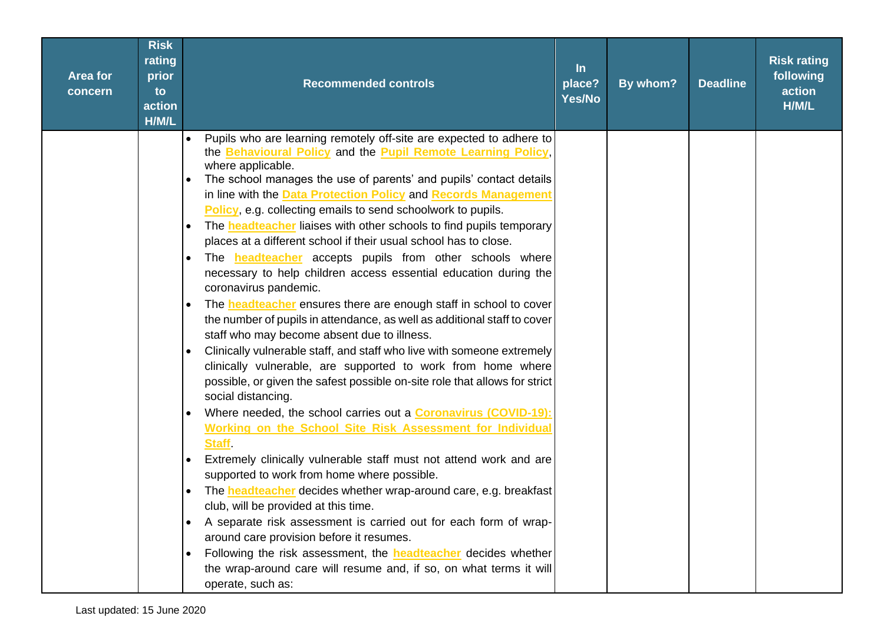| <b>Area for</b><br>concern | <b>Risk</b><br>rating<br>prior<br>to<br>action<br>H/M/L | <b>Recommended controls</b>                                                                                                                                                                                                                                                                                                                                                                                                                                                                                                                                                                                                                                                                                                                                                                                                                                                                                                                                                                                                                                                                                                                                                                                                                                                                                                                                                                                                                                                                                                                                                                                                                                                                                                                                                                                                                                                        | $\ln$<br>place?<br>Yes/No | By whom? | <b>Deadline</b> | <b>Risk rating</b><br>following<br>action<br>H/M/L |
|----------------------------|---------------------------------------------------------|------------------------------------------------------------------------------------------------------------------------------------------------------------------------------------------------------------------------------------------------------------------------------------------------------------------------------------------------------------------------------------------------------------------------------------------------------------------------------------------------------------------------------------------------------------------------------------------------------------------------------------------------------------------------------------------------------------------------------------------------------------------------------------------------------------------------------------------------------------------------------------------------------------------------------------------------------------------------------------------------------------------------------------------------------------------------------------------------------------------------------------------------------------------------------------------------------------------------------------------------------------------------------------------------------------------------------------------------------------------------------------------------------------------------------------------------------------------------------------------------------------------------------------------------------------------------------------------------------------------------------------------------------------------------------------------------------------------------------------------------------------------------------------------------------------------------------------------------------------------------------------|---------------------------|----------|-----------------|----------------------------------------------------|
|                            |                                                         | Pupils who are learning remotely off-site are expected to adhere to<br>$\bullet$<br>the Behavioural Policy and the Pupil Remote Learning Policy,<br>where applicable.<br>The school manages the use of parents' and pupils' contact details<br>in line with the Data Protection Policy and Records Management<br>Policy, e.g. collecting emails to send schoolwork to pupils.<br>The <b>headteacher</b> liaises with other schools to find pupils temporary<br>$\bullet$<br>places at a different school if their usual school has to close.<br>The <b>headteacher</b> accepts pupils from other schools where<br>$\bullet$<br>necessary to help children access essential education during the<br>coronavirus pandemic.<br>The <b>headteacher</b> ensures there are enough staff in school to cover<br>$\bullet$<br>the number of pupils in attendance, as well as additional staff to cover<br>staff who may become absent due to illness.<br>Clinically vulnerable staff, and staff who live with someone extremely<br>clinically vulnerable, are supported to work from home where<br>possible, or given the safest possible on-site role that allows for strict<br>social distancing.<br>Where needed, the school carries out a <b>Coronavirus (COVID-19):</b><br>Working on the School Site Risk Assessment for Individual<br><b>Staff</b><br>Extremely clinically vulnerable staff must not attend work and are<br>$\bullet$<br>supported to work from home where possible.<br>The headteacher decides whether wrap-around care, e.g. breakfast<br>club, will be provided at this time.<br>A separate risk assessment is carried out for each form of wrap-<br>around care provision before it resumes.<br>Following the risk assessment, the <b>headteacher</b> decides whether<br>the wrap-around care will resume and, if so, on what terms it will<br>operate, such as: |                           |          |                 |                                                    |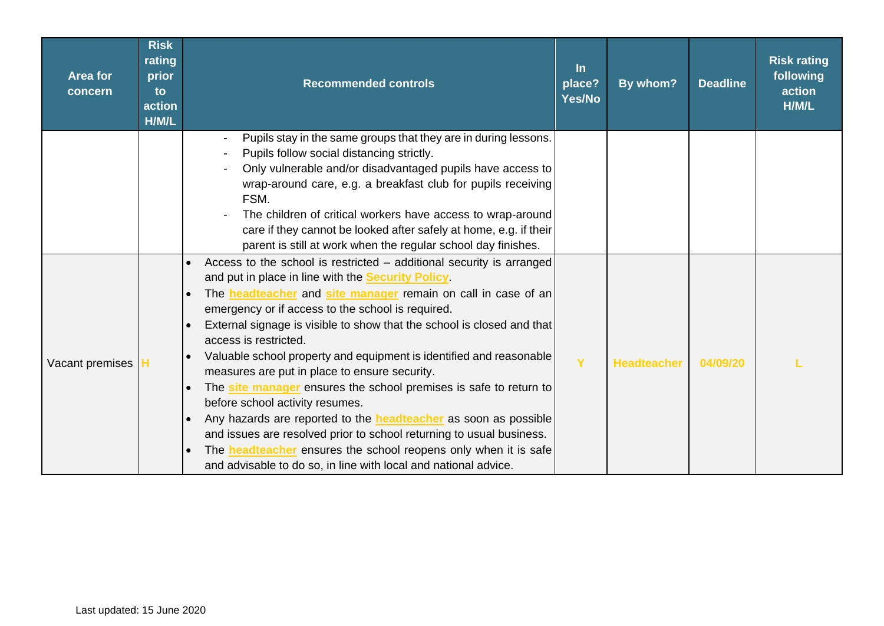| <b>Area for</b><br>concern | <b>Risk</b><br>rating<br>prior<br>to<br>action<br>H/M/L | <b>Recommended controls</b>                                                                                                                                                                                                                                                                                                                                                                                                                                                                                                                                                                                                                                                                                                                                                                                                                                                              | <u>In</u><br>place?<br>Yes/No | By whom?           | <b>Deadline</b> | <b>Risk rating</b><br>following<br>action<br>H/M/L |
|----------------------------|---------------------------------------------------------|------------------------------------------------------------------------------------------------------------------------------------------------------------------------------------------------------------------------------------------------------------------------------------------------------------------------------------------------------------------------------------------------------------------------------------------------------------------------------------------------------------------------------------------------------------------------------------------------------------------------------------------------------------------------------------------------------------------------------------------------------------------------------------------------------------------------------------------------------------------------------------------|-------------------------------|--------------------|-----------------|----------------------------------------------------|
|                            |                                                         | Pupils stay in the same groups that they are in during lessons.<br>Pupils follow social distancing strictly.<br>Only vulnerable and/or disadvantaged pupils have access to<br>wrap-around care, e.g. a breakfast club for pupils receiving<br>FSM.<br>The children of critical workers have access to wrap-around<br>care if they cannot be looked after safely at home, e.g. if their<br>parent is still at work when the regular school day finishes.                                                                                                                                                                                                                                                                                                                                                                                                                                  |                               |                    |                 |                                                    |
| Vacant premises H          |                                                         | Access to the school is restricted - additional security is arranged<br>and put in place in line with the <b>Security Policy</b><br>The headteacher and site manager remain on call in case of an<br>emergency or if access to the school is required.<br>External signage is visible to show that the school is closed and that<br>access is restricted.<br>Valuable school property and equipment is identified and reasonable<br>measures are put in place to ensure security.<br>The site manager ensures the school premises is safe to return to<br>before school activity resumes.<br>Any hazards are reported to the <b>headteacher</b> as soon as possible<br>and issues are resolved prior to school returning to usual business.<br>The <b>headteacher</b> ensures the school reopens only when it is safe<br>and advisable to do so, in line with local and national advice. | Y                             | <b>Headteacher</b> | 04/09/20        |                                                    |